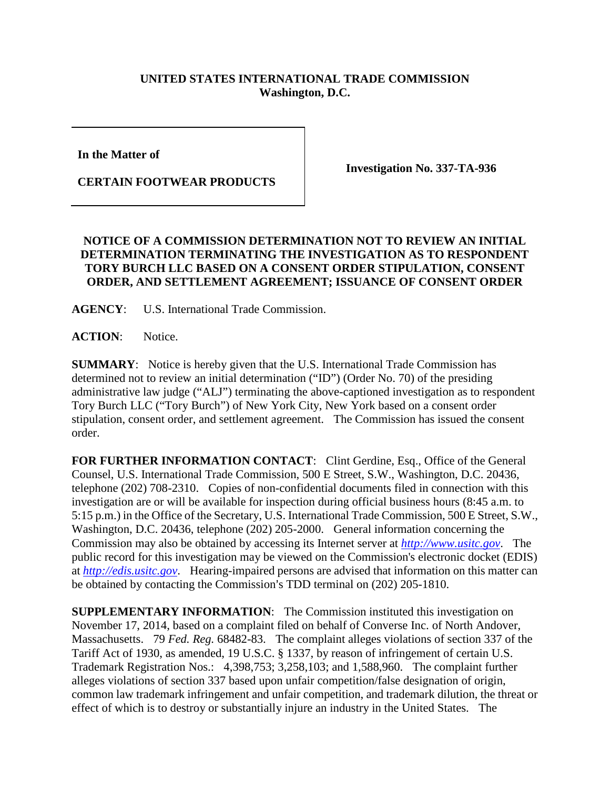## **UNITED STATES INTERNATIONAL TRADE COMMISSION Washington, D.C.**

**In the Matter of** 

**CERTAIN FOOTWEAR PRODUCTS**

**Investigation No. 337-TA-936**

## **NOTICE OF A COMMISSION DETERMINATION NOT TO REVIEW AN INITIAL DETERMINATION TERMINATING THE INVESTIGATION AS TO RESPONDENT TORY BURCH LLC BASED ON A CONSENT ORDER STIPULATION, CONSENT ORDER, AND SETTLEMENT AGREEMENT; ISSUANCE OF CONSENT ORDER**

**AGENCY**: U.S. International Trade Commission.

**ACTION**: Notice.

**SUMMARY**: Notice is hereby given that the U.S. International Trade Commission has determined not to review an initial determination ("ID") (Order No. 70) of the presiding administrative law judge ("ALJ") terminating the above-captioned investigation as to respondent Tory Burch LLC ("Tory Burch") of New York City, New York based on a consent order stipulation, consent order, and settlement agreement. The Commission has issued the consent order.

**FOR FURTHER INFORMATION CONTACT**: Clint Gerdine, Esq., Office of the General Counsel, U.S. International Trade Commission, 500 E Street, S.W., Washington, D.C. 20436, telephone (202) 708-2310. Copies of non-confidential documents filed in connection with this investigation are or will be available for inspection during official business hours (8:45 a.m. to 5:15 p.m.) in the Office of the Secretary, U.S. International Trade Commission, 500 E Street, S.W., Washington, D.C. 20436, telephone (202) 205-2000. General information concerning the Commission may also be obtained by accessing its Internet server at *[http://www.usitc.gov](http://www.usitc.gov/)*. The public record for this investigation may be viewed on the Commission's electronic docket (EDIS) at *[http://edis.usitc.gov](http://edis.usitc.gov/)*. Hearing-impaired persons are advised that information on this matter can be obtained by contacting the Commission's TDD terminal on (202) 205-1810.

**SUPPLEMENTARY INFORMATION:** The Commission instituted this investigation on November 17, 2014, based on a complaint filed on behalf of Converse Inc. of North Andover, Massachusetts. 79 *Fed. Reg.* 68482-83. The complaint alleges violations of section 337 of the Tariff Act of 1930, as amended, 19 U.S.C. § 1337, by reason of infringement of certain U.S. Trademark Registration Nos.: 4,398,753; 3,258,103; and 1,588,960. The complaint further alleges violations of section 337 based upon unfair competition/false designation of origin, common law trademark infringement and unfair competition, and trademark dilution, the threat or effect of which is to destroy or substantially injure an industry in the United States. The